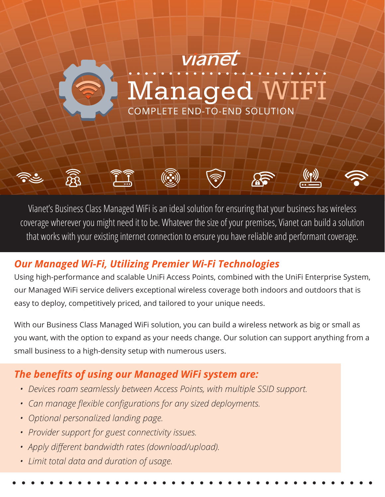

Vianet's Business Class Managed WiFi is an ideal solution for ensuring that your business has wireless coverage wherever you might need it to be. Whatever the size of your premises, Vianet can build a solution that works with your existing internet connection to ensure you have reliable and performant coverage.

# *Our Managed Wi-Fi, Utilizing Premier Wi-Fi Technologies*

Using high-performance and scalable UniFi Access Points, combined with the UniFi Enterprise System, our Managed WiFi service delivers exceptional wireless coverage both indoors and outdoors that is easy to deploy, competitively priced, and tailored to your unique needs.

With our Business Class Managed WiFi solution, you can build a wireless network as big or small as you want, with the option to expand as your needs change. Our solution can support anything from a small business to a high-density setup with numerous users.

# *The benefits of using our Managed WiFi system are:*

- *• Devices roam seamlessly between Access Points, with multiple SSID support.*
- *• Can manage flexible configurations for any sized deployments.*
- *• Optional personalized landing page.*
- *• Provider support for guest connectivity issues.*
- *• Apply different bandwidth rates (download/upload).*
- *• Limit total data and duration of usage.*